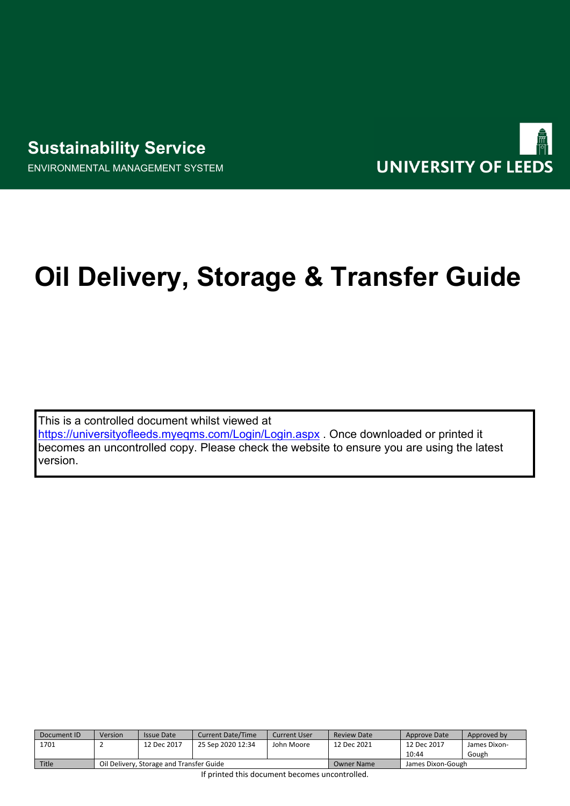# **Sustainability Service**

ENVIRONMENTAL MANAGEMENT SYSTEM



# **Oil Delivery, Storage & Transfer Guide**

This is a controlled document whilst viewed at <https://universityofleeds.myeqms.com/Login/Login.aspx> . Once downloaded or printed it becomes an uncontrolled copy. Please check the website to ensure you are using the latest version.

| Document ID  | Version                                  | Issue Date  | <b>Current Date/Time</b> | Current User      | <b>Review Date</b> | Approve Date | Approved by  |
|--------------|------------------------------------------|-------------|--------------------------|-------------------|--------------------|--------------|--------------|
| 1701         |                                          | 12 Dec 2017 | 25 Sep 2020 12:34        | John Moore        | 12 Dec 2021        | 12 Dec 2017  | James Dixon- |
|              |                                          |             |                          |                   |                    | 10:44        | Gough        |
| <b>Title</b> | Oil Delivery, Storage and Transfer Guide |             |                          | <b>Owner Name</b> | James Dixon-Gough  |              |              |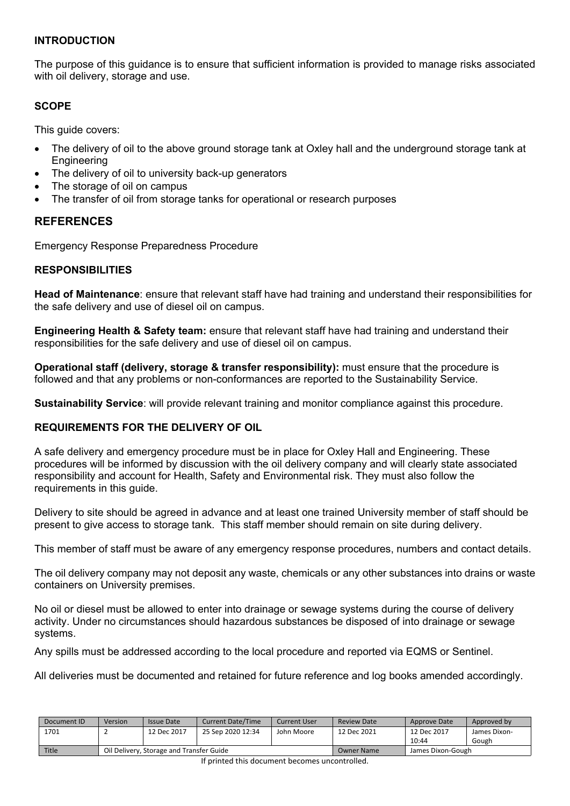#### **INTRODUCTION**

The purpose of this guidance is to ensure that sufficient information is provided to manage risks associated with oil delivery, storage and use.

#### **SCOPE**

This guide covers:

- The delivery of oil to the above ground storage tank at Oxley hall and the underground storage tank at **Engineering**
- The delivery of oil to university back-up generators
- The storage of oil on campus
- The transfer of oil from storage tanks for operational or research purposes

#### **REFERENCES**

Emergency Response Preparedness Procedure

#### **RESPONSIBILITIES**

**Head of Maintenance**: ensure that relevant staff have had training and understand their responsibilities for the safe delivery and use of diesel oil on campus.

**Engineering Health & Safety team:** ensure that relevant staff have had training and understand their responsibilities for the safe delivery and use of diesel oil on campus.

**Operational staff (delivery, storage & transfer responsibility):** must ensure that the procedure is followed and that any problems or non-conformances are reported to the Sustainability Service.

**Sustainability Service**: will provide relevant training and monitor compliance against this procedure.

#### **REQUIREMENTS FOR THE DELIVERY OF OIL**

A safe delivery and emergency procedure must be in place for Oxley Hall and Engineering. These procedures will be informed by discussion with the oil delivery company and will clearly state associated responsibility and account for Health, Safety and Environmental risk. They must also follow the requirements in this guide.

Delivery to site should be agreed in advance and at least one trained University member of staff should be present to give access to storage tank. This staff member should remain on site during delivery.

This member of staff must be aware of any emergency response procedures, numbers and contact details.

The oil delivery company may not deposit any waste, chemicals or any other substances into drains or waste containers on University premises.

No oil or diesel must be allowed to enter into drainage or sewage systems during the course of delivery activity. Under no circumstances should hazardous substances be disposed of into drainage or sewage systems.

Any spills must be addressed according to the local procedure and reported via EQMS or Sentinel.

All deliveries must be documented and retained for future reference and log books amended accordingly.

| Document ID  | Version                                  | <b>Issue Date</b> | <b>Current Date/Time</b> | Current User      | <b>Review Date</b> | Approve Date | Approved by  |
|--------------|------------------------------------------|-------------------|--------------------------|-------------------|--------------------|--------------|--------------|
| 1701         |                                          | 12 Dec 2017       | 25 Sep 2020 12:34        | John Moore        | 12 Dec 2021        | 12 Dec 2017  | James Dixon- |
|              |                                          |                   |                          |                   |                    | 10:44        | Gough        |
| <b>Title</b> | Oil Delivery, Storage and Transfer Guide |                   |                          | <b>Owner Name</b> | James Dixon-Gough  |              |              |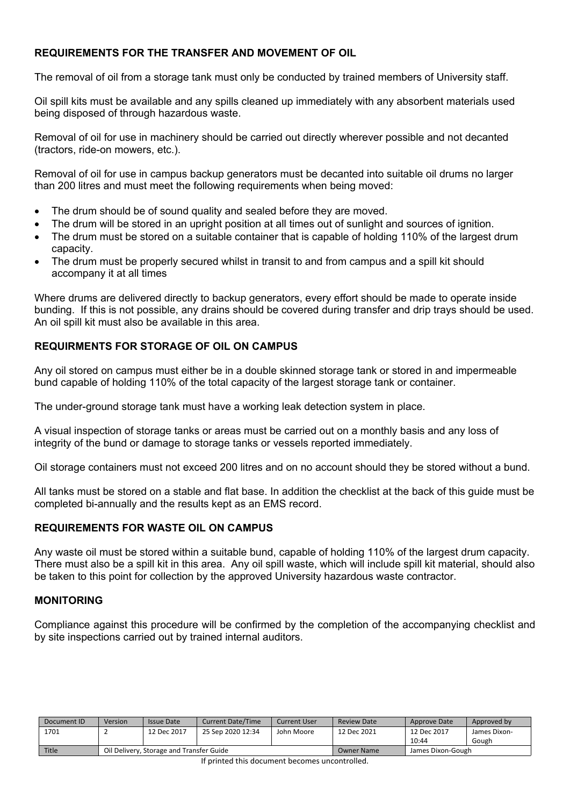## **REQUIREMENTS FOR THE TRANSFER AND MOVEMENT OF OIL**

The removal of oil from a storage tank must only be conducted by trained members of University staff.

Oil spill kits must be available and any spills cleaned up immediately with any absorbent materials used being disposed of through hazardous waste.

Removal of oil for use in machinery should be carried out directly wherever possible and not decanted (tractors, ride-on mowers, etc.).

Removal of oil for use in campus backup generators must be decanted into suitable oil drums no larger than 200 litres and must meet the following requirements when being moved:

- The drum should be of sound quality and sealed before they are moved.
- The drum will be stored in an upright position at all times out of sunlight and sources of ignition.
- The drum must be stored on a suitable container that is capable of holding 110% of the largest drum capacity.
- The drum must be properly secured whilst in transit to and from campus and a spill kit should accompany it at all times

Where drums are delivered directly to backup generators, every effort should be made to operate inside bunding. If this is not possible, any drains should be covered during transfer and drip trays should be used. An oil spill kit must also be available in this area.

#### **REQUIRMENTS FOR STORAGE OF OIL ON CAMPUS**

Any oil stored on campus must either be in a double skinned storage tank or stored in and impermeable bund capable of holding 110% of the total capacity of the largest storage tank or container.

The under-ground storage tank must have a working leak detection system in place.

A visual inspection of storage tanks or areas must be carried out on a monthly basis and any loss of integrity of the bund or damage to storage tanks or vessels reported immediately.

Oil storage containers must not exceed 200 litres and on no account should they be stored without a bund.

All tanks must be stored on a stable and flat base. In addition the checklist at the back of this guide must be completed bi-annually and the results kept as an EMS record.

#### **REQUIREMENTS FOR WASTE OIL ON CAMPUS**

Any waste oil must be stored within a suitable bund, capable of holding 110% of the largest drum capacity. There must also be a spill kit in this area. Any oil spill waste, which will include spill kit material, should also be taken to this point for collection by the approved University hazardous waste contractor.

#### **MONITORING**

Compliance against this procedure will be confirmed by the completion of the accompanying checklist and by site inspections carried out by trained internal auditors.

| Document ID | Version                                  | Issue Date  | <b>Current Date/Time</b> | Current User      | <b>Review Date</b> | Approve Date | Approved by  |
|-------------|------------------------------------------|-------------|--------------------------|-------------------|--------------------|--------------|--------------|
| 1701        |                                          | 12 Dec 2017 | 25 Sep 2020 12:34        | John Moore        | 12 Dec 2021        | 12 Dec 2017  | James Dixon- |
|             |                                          |             |                          |                   |                    | 10:44        | Gough        |
| Title       | Oil Delivery, Storage and Transfer Guide |             |                          | <b>Owner Name</b> | James Dixon-Gough  |              |              |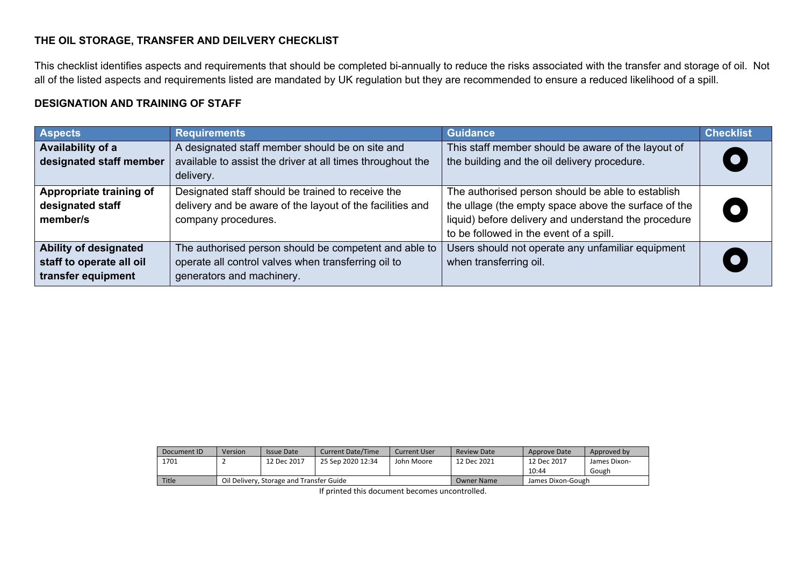#### **THE OIL STORAGE, TRANSFER AND DEILVERY CHECKLIST**

This checklist identifies aspects and requirements that should be completed bi-annually to reduce the risks associated with the transfer and storage of oil. Not all of the listed aspects and requirements listed are mandated by UK regulation but they are recommended to ensure a reduced likelihood of a spill.

#### **DESIGNATION AND TRAINING OF STAFF**

| <b>Aspects</b>                                                                 | <b>Requirements</b>                                                                                                                       | <b>Guidance</b>                                                                                                                                                                                              | <b>Checklist</b> |
|--------------------------------------------------------------------------------|-------------------------------------------------------------------------------------------------------------------------------------------|--------------------------------------------------------------------------------------------------------------------------------------------------------------------------------------------------------------|------------------|
| Availability of a<br>designated staff member                                   | A designated staff member should be on site and<br>available to assist the driver at all times throughout the<br>delivery.                | This staff member should be aware of the layout of<br>the building and the oil delivery procedure.                                                                                                           |                  |
| Appropriate training of<br>designated staff<br>member/s                        | Designated staff should be trained to receive the<br>delivery and be aware of the layout of the facilities and<br>company procedures.     | The authorised person should be able to establish<br>the ullage (the empty space above the surface of the<br>liquid) before delivery and understand the procedure<br>to be followed in the event of a spill. |                  |
| <b>Ability of designated</b><br>staff to operate all oil<br>transfer equipment | The authorised person should be competent and able to<br>operate all control valves when transferring oil to<br>generators and machinery. | Users should not operate any unfamiliar equipment<br>when transferring oil.                                                                                                                                  |                  |

| Document ID  | Version                                  | <b>Issue Date</b> | <b>Current Date/Time</b> | Current User      | <b>Review Date</b> | Approve Date | Approved by  |
|--------------|------------------------------------------|-------------------|--------------------------|-------------------|--------------------|--------------|--------------|
| 1701         |                                          | 12 Dec 2017       | 25 Sep 2020 12:34        | John Moore        | 12 Dec 2021        | 12 Dec 2017  | James Dixon- |
|              |                                          |                   |                          |                   |                    | 10:44        | Gough        |
| <b>Title</b> | Oil Delivery, Storage and Transfer Guide |                   |                          | <b>Owner Name</b> | James Dixon-Gough  |              |              |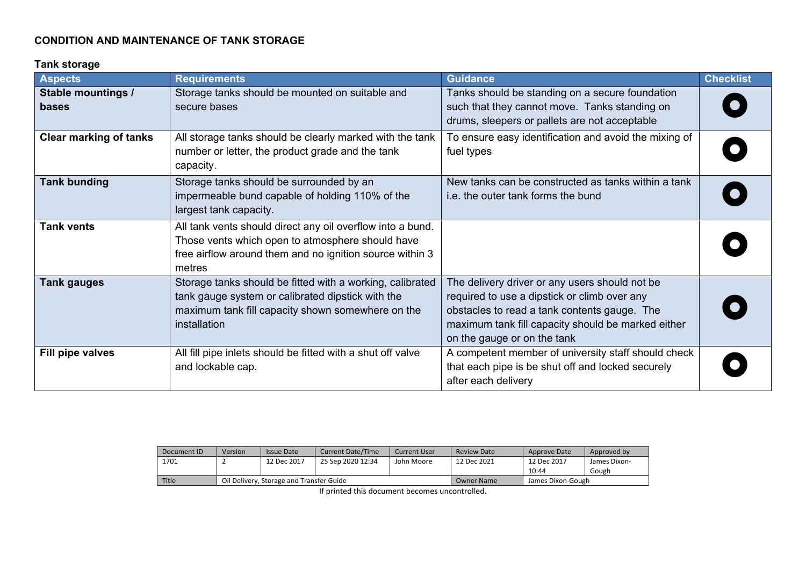# **CONDITION AND MAINTENANCE OF TANK STORAGE**

#### **Tank storage**

| <b>Aspects</b>                | <b>Requirements</b>                                                                                                                                                                  | <b>Guidance</b>                                                                                                                                                                                                                     | <b>Checklist</b> |
|-------------------------------|--------------------------------------------------------------------------------------------------------------------------------------------------------------------------------------|-------------------------------------------------------------------------------------------------------------------------------------------------------------------------------------------------------------------------------------|------------------|
| Stable mountings /<br>bases   | Storage tanks should be mounted on suitable and<br>secure bases                                                                                                                      | Tanks should be standing on a secure foundation<br>such that they cannot move. Tanks standing on<br>drums, sleepers or pallets are not acceptable                                                                                   |                  |
| <b>Clear marking of tanks</b> | All storage tanks should be clearly marked with the tank<br>number or letter, the product grade and the tank<br>capacity.                                                            | To ensure easy identification and avoid the mixing of<br>fuel types                                                                                                                                                                 |                  |
| <b>Tank bunding</b>           | Storage tanks should be surrounded by an<br>impermeable bund capable of holding 110% of the<br>largest tank capacity.                                                                | New tanks can be constructed as tanks within a tank<br>i.e. the outer tank forms the bund                                                                                                                                           |                  |
| <b>Tank vents</b>             | All tank vents should direct any oil overflow into a bund.<br>Those vents which open to atmosphere should have<br>free airflow around them and no ignition source within 3<br>metres |                                                                                                                                                                                                                                     |                  |
| <b>Tank gauges</b>            | Storage tanks should be fitted with a working, calibrated<br>tank gauge system or calibrated dipstick with the<br>maximum tank fill capacity shown somewhere on the<br>installation  | The delivery driver or any users should not be<br>required to use a dipstick or climb over any<br>obstacles to read a tank contents gauge. The<br>maximum tank fill capacity should be marked either<br>on the gauge or on the tank |                  |
| Fill pipe valves              | All fill pipe inlets should be fitted with a shut off valve<br>and lockable cap.                                                                                                     | A competent member of university staff should check<br>that each pipe is be shut off and locked securely<br>after each delivery                                                                                                     |                  |

| Document ID | Version                                  | Issue Date  | <b>Current Date/Time</b> | <b>Current User</b> | <b>Review Date</b> | Approve Date | Approved by  |
|-------------|------------------------------------------|-------------|--------------------------|---------------------|--------------------|--------------|--------------|
| 1701        |                                          | 12 Dec 2017 | 25 Sep 2020 12:34        | John Moore          | 12 Dec 2021        | 12 Dec 2017  | James Dixon- |
|             |                                          |             |                          |                     |                    | 10:44        | Gough        |
| Title       | Oil Delivery, Storage and Transfer Guide |             |                          | <b>Owner Name</b>   | James Dixon-Gough  |              |              |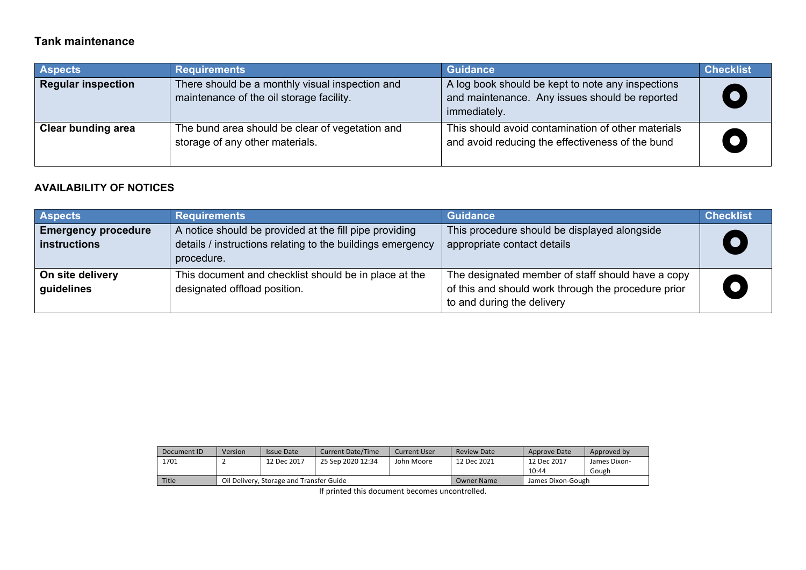# **Tank maintenance**

| <b>Aspects</b>            | <b>Requirements</b>                                                                         | <b>Guidance</b>                                                                                                     | <b>Checklist</b> |
|---------------------------|---------------------------------------------------------------------------------------------|---------------------------------------------------------------------------------------------------------------------|------------------|
| <b>Regular inspection</b> | There should be a monthly visual inspection and<br>maintenance of the oil storage facility. | A log book should be kept to note any inspections<br>and maintenance. Any issues should be reported<br>immediately. |                  |
| <b>Clear bunding area</b> | The bund area should be clear of vegetation and<br>storage of any other materials.          | This should avoid contamination of other materials<br>and avoid reducing the effectiveness of the bund              |                  |

# **AVAILABILITY OF NOTICES**

| <b>Aspects</b>             | <b>Requirements</b>                                        | <b>Guidance</b>                                     | <b>Checklist</b> |
|----------------------------|------------------------------------------------------------|-----------------------------------------------------|------------------|
| <b>Emergency procedure</b> | A notice should be provided at the fill pipe providing     | This procedure should be displayed alongside        |                  |
| <b>instructions</b>        | details / instructions relating to the buildings emergency | appropriate contact details                         |                  |
|                            | procedure.                                                 |                                                     |                  |
| On site delivery           | This document and checklist should be in place at the      | The designated member of staff should have a copy   |                  |
| guidelines                 | designated offload position.                               | of this and should work through the procedure prior |                  |
|                            |                                                            | to and during the delivery                          |                  |

| Document ID | Version                                  | Issue Date  | <b>Current Date/Time</b> | <b>Current User</b> | <b>Review Date</b> | Approve Date | Approved by  |
|-------------|------------------------------------------|-------------|--------------------------|---------------------|--------------------|--------------|--------------|
| 1701        |                                          | 12 Dec 2017 | 25 Sep 2020 12:34        | John Moore          | 12 Dec 2021        | 12 Dec 2017  | James Dixon- |
|             |                                          |             |                          |                     |                    | 10:44        | Gough        |
| Title       | Oil Delivery, Storage and Transfer Guide |             |                          | Owner Name          | James Dixon-Gough  |              |              |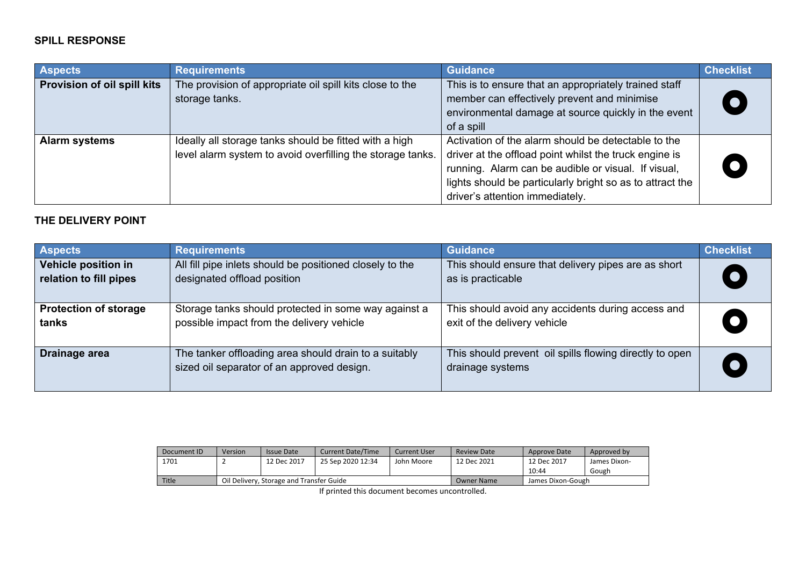#### **SPILL RESPONSE**

| <b>Aspects</b>              | <b>Requirements</b>                                                                                                  | <b>Guidance</b>                                                                                                                                                                                                                                                      | <b>Checklist</b> |
|-----------------------------|----------------------------------------------------------------------------------------------------------------------|----------------------------------------------------------------------------------------------------------------------------------------------------------------------------------------------------------------------------------------------------------------------|------------------|
| Provision of oil spill kits | The provision of appropriate oil spill kits close to the<br>storage tanks.                                           | This is to ensure that an appropriately trained staff<br>member can effectively prevent and minimise<br>environmental damage at source quickly in the event<br>of a spill                                                                                            |                  |
| <b>Alarm systems</b>        | Ideally all storage tanks should be fitted with a high<br>level alarm system to avoid overfilling the storage tanks. | Activation of the alarm should be detectable to the<br>driver at the offload point whilst the truck engine is<br>running. Alarm can be audible or visual. If visual,<br>lights should be particularly bright so as to attract the<br>driver's attention immediately. |                  |

# **THE DELIVERY POINT**

| <b>Aspects</b>               | <b>Requirements</b>                                                                                 | <b>Guidance</b>                                                             | <b>Checklist</b> |
|------------------------------|-----------------------------------------------------------------------------------------------------|-----------------------------------------------------------------------------|------------------|
| Vehicle position in          | All fill pipe inlets should be positioned closely to the                                            | This should ensure that delivery pipes are as short                         |                  |
| relation to fill pipes       | designated offload position                                                                         | as is practicable                                                           |                  |
| <b>Protection of storage</b> | Storage tanks should protected in some way against a                                                | This should avoid any accidents during access and                           |                  |
| tanks                        | possible impact from the delivery vehicle                                                           | exit of the delivery vehicle                                                |                  |
| Drainage area                | The tanker offloading area should drain to a suitably<br>sized oil separator of an approved design. | This should prevent oil spills flowing directly to open<br>drainage systems |                  |

| Document ID  | Version                                  | <b>Issue Date</b> | <b>Current Date/Time</b> | Current User      | Review Date       | Approve Date | Approved by  |
|--------------|------------------------------------------|-------------------|--------------------------|-------------------|-------------------|--------------|--------------|
| 1701         |                                          | 12 Dec 2017       | 25 Sep 2020 12:34        | John Moore        | 12 Dec 2021       | 12 Dec 2017  | James Dixon- |
|              |                                          |                   |                          |                   |                   | 10:44        | Gough        |
| <b>Title</b> | Oil Delivery, Storage and Transfer Guide |                   |                          | <b>Owner Name</b> | James Dixon-Gough |              |              |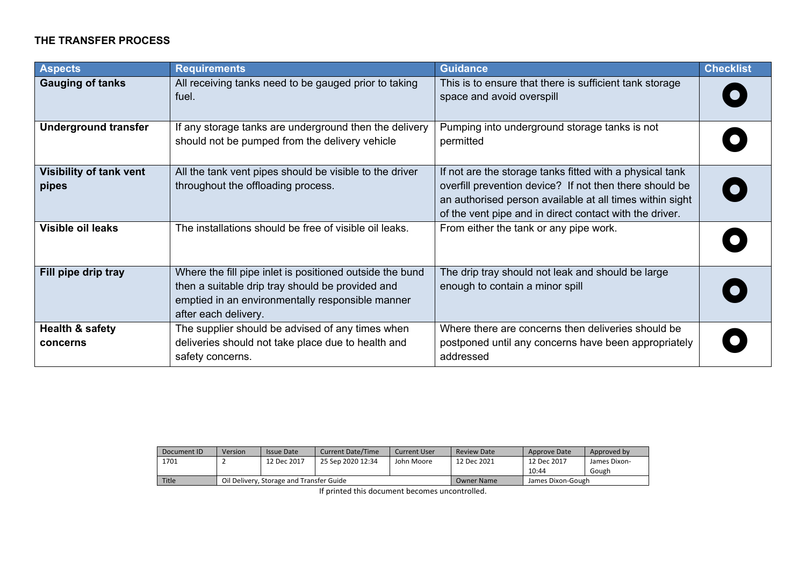## **THE TRANSFER PROCESS**

| <b>Aspects</b>                          | <b>Requirements</b>                                                                                                                                                                      | <b>Guidance</b>                                                                                                                                                                                                                            | <b>Checklist</b> |
|-----------------------------------------|------------------------------------------------------------------------------------------------------------------------------------------------------------------------------------------|--------------------------------------------------------------------------------------------------------------------------------------------------------------------------------------------------------------------------------------------|------------------|
| <b>Gauging of tanks</b>                 | All receiving tanks need to be gauged prior to taking<br>fuel.                                                                                                                           | This is to ensure that there is sufficient tank storage<br>space and avoid overspill                                                                                                                                                       |                  |
| <b>Underground transfer</b>             | If any storage tanks are underground then the delivery<br>should not be pumped from the delivery vehicle                                                                                 | Pumping into underground storage tanks is not<br>permitted                                                                                                                                                                                 |                  |
| <b>Visibility of tank vent</b><br>pipes | All the tank vent pipes should be visible to the driver<br>throughout the offloading process.                                                                                            | If not are the storage tanks fitted with a physical tank<br>overfill prevention device? If not then there should be<br>an authorised person available at all times within sight<br>of the vent pipe and in direct contact with the driver. |                  |
| <b>Visible oil leaks</b>                | The installations should be free of visible oil leaks.                                                                                                                                   | From either the tank or any pipe work.                                                                                                                                                                                                     |                  |
| Fill pipe drip tray                     | Where the fill pipe inlet is positioned outside the bund<br>then a suitable drip tray should be provided and<br>emptied in an environmentally responsible manner<br>after each delivery. | The drip tray should not leak and should be large<br>enough to contain a minor spill                                                                                                                                                       |                  |
| Health & safety<br>concerns             | The supplier should be advised of any times when<br>deliveries should not take place due to health and<br>safety concerns.                                                               | Where there are concerns then deliveries should be<br>postponed until any concerns have been appropriately<br>addressed                                                                                                                    |                  |

| Document ID | Version                                  | <b>Issue Date</b> | <b>Current Date/Time</b> | Current User | <b>Review Date</b> | Approve Date | Approved by  |
|-------------|------------------------------------------|-------------------|--------------------------|--------------|--------------------|--------------|--------------|
| 1701        |                                          | 12 Dec 2017       | 25 Sep 2020 12:34        | John Moore   | 12 Dec 2021        | 12 Dec 2017  | James Dixon- |
|             |                                          |                   |                          |              |                    | 10:44        | Gough        |
| Title       | Oil Delivery, Storage and Transfer Guide |                   |                          | Owner Name   | James Dixon-Gough  |              |              |